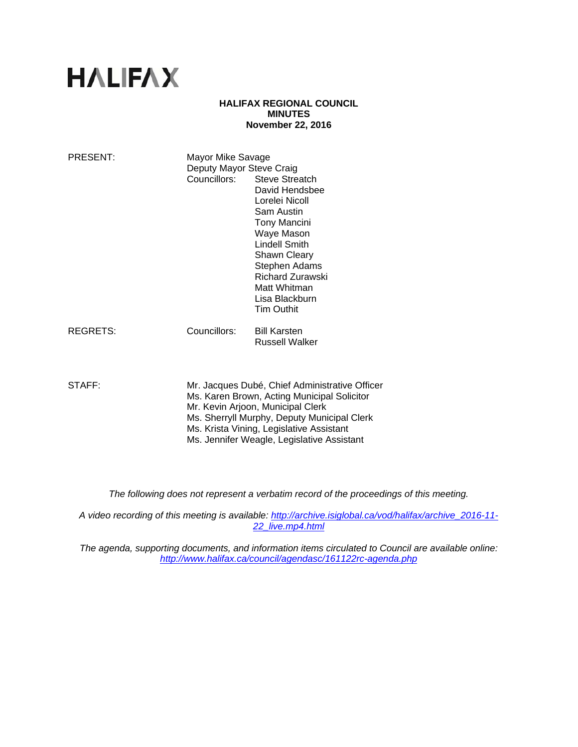# **HALIFAX**

# **HALIFAX REGIONAL COUNCIL MINUTES November 22, 2016**

| PRESENT:        | Mayor Mike Savage<br>Deputy Mayor Steve Craig<br>Councillors:                                                                                                                                                                                                               | <b>Steve Streatch</b><br>David Hendsbee<br>Lorelei Nicoll<br>Sam Austin<br><b>Tony Mancini</b><br>Waye Mason<br>Lindell Smith<br>Shawn Cleary<br>Stephen Adams<br><b>Richard Zurawski</b><br>Matt Whitman<br>Lisa Blackburn<br><b>Tim Outhit</b> |
|-----------------|-----------------------------------------------------------------------------------------------------------------------------------------------------------------------------------------------------------------------------------------------------------------------------|--------------------------------------------------------------------------------------------------------------------------------------------------------------------------------------------------------------------------------------------------|
| <b>REGRETS:</b> | Councillors:                                                                                                                                                                                                                                                                | <b>Bill Karsten</b><br><b>Russell Walker</b>                                                                                                                                                                                                     |
| STAFF:          | Mr. Jacques Dubé, Chief Administrative Officer<br>Ms. Karen Brown, Acting Municipal Solicitor<br>Mr. Kevin Arjoon, Municipal Clerk<br>Ms. Sherryll Murphy, Deputy Municipal Clerk<br>Ms. Krista Vining, Legislative Assistant<br>Ms. Jennifer Weagle, Legislative Assistant |                                                                                                                                                                                                                                                  |

*The following does not represent a verbatim record of the proceedings of this meeting.* 

*A video recording of this meeting is available: http://archive.isiglobal.ca/vod/halifax/archive\_2016-11- 22\_live.mp4.html* 

*The agenda, supporting documents, and information items circulated to Council are available online: http://www.halifax.ca/council/agendasc/161122rc-agenda.php*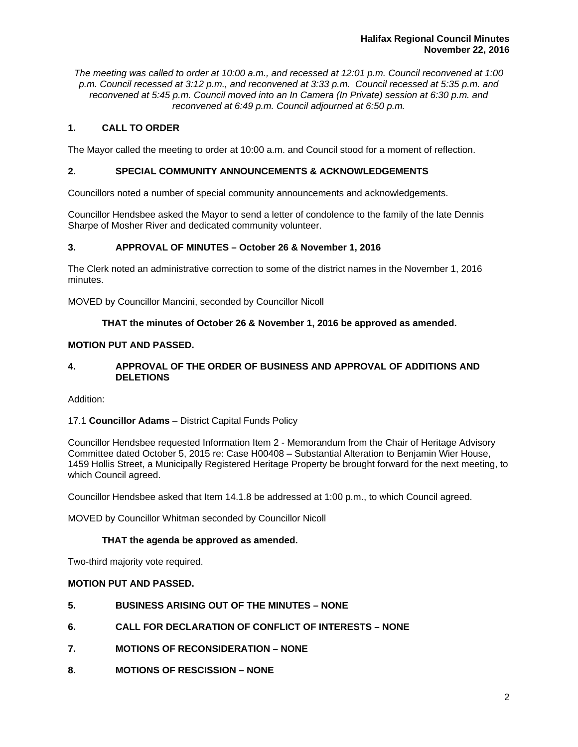*The meeting was called to order at 10:00 a.m., and recessed at 12:01 p.m. Council reconvened at 1:00 p.m. Council recessed at 3:12 p.m., and reconvened at 3:33 p.m. Council recessed at 5:35 p.m. and reconvened at 5:45 p.m. Council moved into an In Camera (In Private) session at 6:30 p.m. and reconvened at 6:49 p.m. Council adjourned at 6:50 p.m.* 

# **1. CALL TO ORDER**

The Mayor called the meeting to order at 10:00 a.m. and Council stood for a moment of reflection.

# **2. SPECIAL COMMUNITY ANNOUNCEMENTS & ACKNOWLEDGEMENTS**

Councillors noted a number of special community announcements and acknowledgements.

Councillor Hendsbee asked the Mayor to send a letter of condolence to the family of the late Dennis Sharpe of Mosher River and dedicated community volunteer.

# **3. APPROVAL OF MINUTES – October 26 & November 1, 2016**

The Clerk noted an administrative correction to some of the district names in the November 1, 2016 minutes.

MOVED by Councillor Mancini, seconded by Councillor Nicoll

# **THAT the minutes of October 26 & November 1, 2016 be approved as amended.**

# **MOTION PUT AND PASSED.**

# **4. APPROVAL OF THE ORDER OF BUSINESS AND APPROVAL OF ADDITIONS AND DELETIONS**

Addition:

# 17.1 **Councillor Adams** – District Capital Funds Policy

Councillor Hendsbee requested Information Item 2 - Memorandum from the Chair of Heritage Advisory Committee dated October 5, 2015 re: Case H00408 – Substantial Alteration to Benjamin Wier House, 1459 Hollis Street, a Municipally Registered Heritage Property be brought forward for the next meeting, to which Council agreed.

Councillor Hendsbee asked that Item 14.1.8 be addressed at 1:00 p.m., to which Council agreed.

MOVED by Councillor Whitman seconded by Councillor Nicoll

# **THAT the agenda be approved as amended.**

Two-third majority vote required.

# **MOTION PUT AND PASSED.**

- **5. BUSINESS ARISING OUT OF THE MINUTES NONE**
- **6. CALL FOR DECLARATION OF CONFLICT OF INTERESTS NONE**
- **7. MOTIONS OF RECONSIDERATION NONE**
- **8. MOTIONS OF RESCISSION NONE**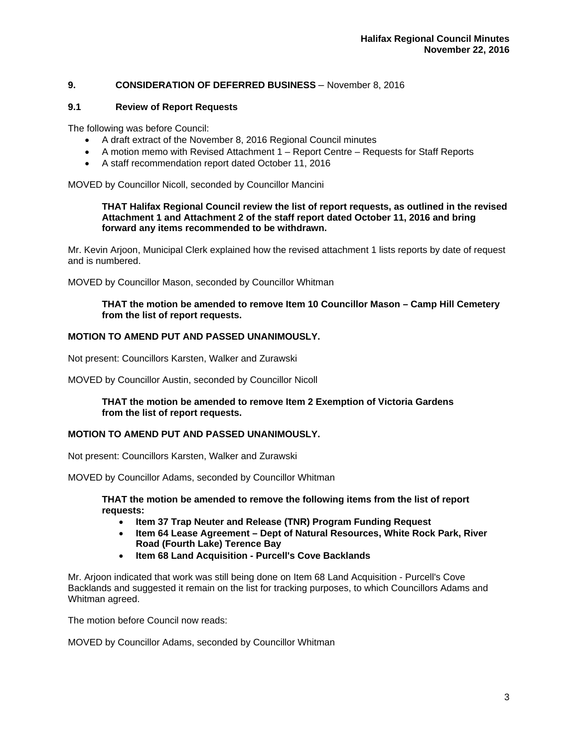# **9. CONSIDERATION OF DEFERRED BUSINESS** – November 8, 2016

# **9.1 Review of Report Requests**

The following was before Council:

- A draft extract of the November 8, 2016 Regional Council minutes
- A motion memo with Revised Attachment 1 Report Centre Requests for Staff Reports
- A staff recommendation report dated October 11, 2016

MOVED by Councillor Nicoll, seconded by Councillor Mancini

#### **THAT Halifax Regional Council review the list of report requests, as outlined in the revised Attachment 1 and Attachment 2 of the staff report dated October 11, 2016 and bring forward any items recommended to be withdrawn.**

Mr. Kevin Arjoon, Municipal Clerk explained how the revised attachment 1 lists reports by date of request and is numbered.

MOVED by Councillor Mason, seconded by Councillor Whitman

#### **THAT the motion be amended to remove Item 10 Councillor Mason – Camp Hill Cemetery from the list of report requests.**

# **MOTION TO AMEND PUT AND PASSED UNANIMOUSLY.**

Not present: Councillors Karsten, Walker and Zurawski

MOVED by Councillor Austin, seconded by Councillor Nicoll

**THAT the motion be amended to remove Item 2 Exemption of Victoria Gardens from the list of report requests.** 

# **MOTION TO AMEND PUT AND PASSED UNANIMOUSLY.**

Not present: Councillors Karsten, Walker and Zurawski

MOVED by Councillor Adams, seconded by Councillor Whitman

**THAT the motion be amended to remove the following items from the list of report requests:** 

- **Item 37 Trap Neuter and Release (TNR) Program Funding Request**
- **Item 64 Lease Agreement Dept of Natural Resources, White Rock Park, River Road (Fourth Lake) Terence Bay**
- **Item 68 Land Acquisition Purcell's Cove Backlands**

Mr. Arjoon indicated that work was still being done on Item 68 Land Acquisition - Purcell's Cove Backlands and suggested it remain on the list for tracking purposes, to which Councillors Adams and Whitman agreed.

The motion before Council now reads:

MOVED by Councillor Adams, seconded by Councillor Whitman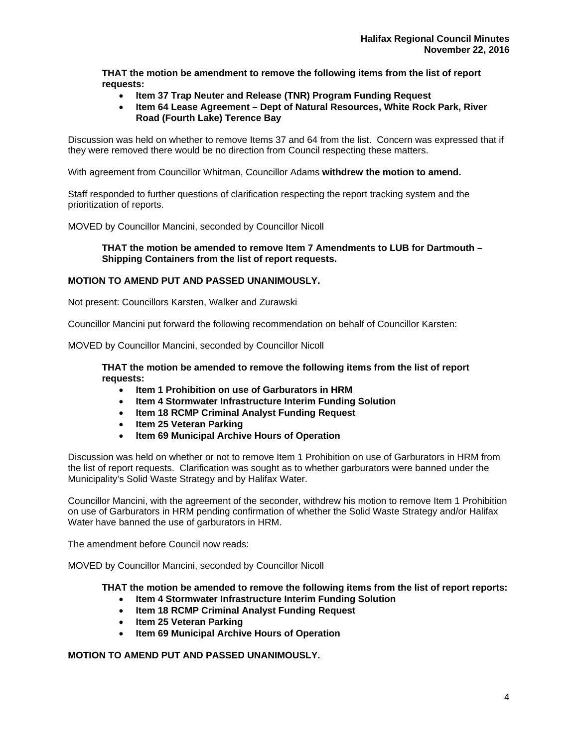**THAT the motion be amendment to remove the following items from the list of report requests:** 

- **Item 37 Trap Neuter and Release (TNR) Program Funding Request**
- **Item 64 Lease Agreement Dept of Natural Resources, White Rock Park, River Road (Fourth Lake) Terence Bay**

Discussion was held on whether to remove Items 37 and 64 from the list. Concern was expressed that if they were removed there would be no direction from Council respecting these matters.

With agreement from Councillor Whitman, Councillor Adams **withdrew the motion to amend.** 

Staff responded to further questions of clarification respecting the report tracking system and the prioritization of reports.

MOVED by Councillor Mancini, seconded by Councillor Nicoll

#### **THAT the motion be amended to remove Item 7 Amendments to LUB for Dartmouth – Shipping Containers from the list of report requests.**

# **MOTION TO AMEND PUT AND PASSED UNANIMOUSLY.**

Not present: Councillors Karsten, Walker and Zurawski

Councillor Mancini put forward the following recommendation on behalf of Councillor Karsten:

MOVED by Councillor Mancini, seconded by Councillor Nicoll

**THAT the motion be amended to remove the following items from the list of report requests:** 

- **Item 1 Prohibition on use of Garburators in HRM**
- **Item 4 Stormwater Infrastructure Interim Funding Solution**
- **Item 18 RCMP Criminal Analyst Funding Request**
- **Item 25 Veteran Parking**
- **Item 69 Municipal Archive Hours of Operation**

Discussion was held on whether or not to remove Item 1 Prohibition on use of Garburators in HRM from the list of report requests. Clarification was sought as to whether garburators were banned under the Municipality's Solid Waste Strategy and by Halifax Water.

Councillor Mancini, with the agreement of the seconder, withdrew his motion to remove Item 1 Prohibition on use of Garburators in HRM pending confirmation of whether the Solid Waste Strategy and/or Halifax Water have banned the use of garburators in HRM.

The amendment before Council now reads:

MOVED by Councillor Mancini, seconded by Councillor Nicoll

**THAT the motion be amended to remove the following items from the list of report reports:** 

- **Item 4 Stormwater Infrastructure Interim Funding Solution**
- **Item 18 RCMP Criminal Analyst Funding Request**
- **Item 25 Veteran Parking**
- **Item 69 Municipal Archive Hours of Operation**

**MOTION TO AMEND PUT AND PASSED UNANIMOUSLY.**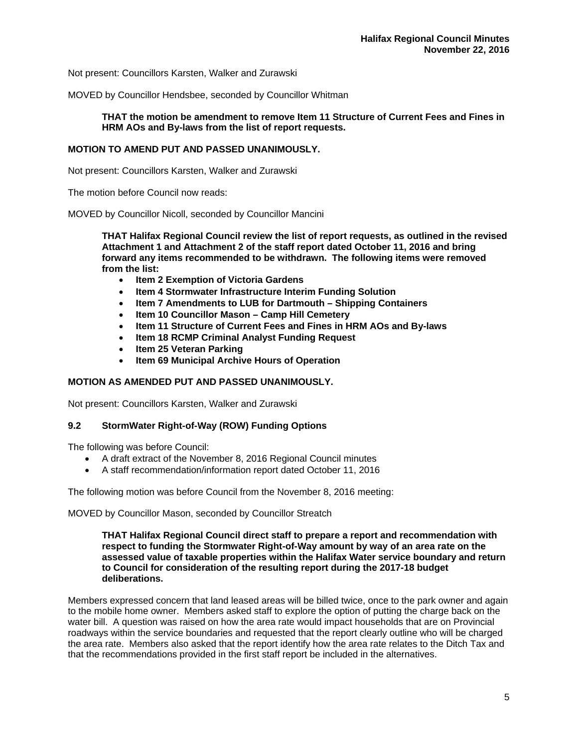Not present: Councillors Karsten, Walker and Zurawski

MOVED by Councillor Hendsbee, seconded by Councillor Whitman

# **THAT the motion be amendment to remove Item 11 Structure of Current Fees and Fines in HRM AOs and By-laws from the list of report requests.**

# **MOTION TO AMEND PUT AND PASSED UNANIMOUSLY.**

Not present: Councillors Karsten, Walker and Zurawski

The motion before Council now reads:

MOVED by Councillor Nicoll, seconded by Councillor Mancini

**THAT Halifax Regional Council review the list of report requests, as outlined in the revised Attachment 1 and Attachment 2 of the staff report dated October 11, 2016 and bring forward any items recommended to be withdrawn. The following items were removed from the list:** 

- **Item 2 Exemption of Victoria Gardens**
- **Item 4 Stormwater Infrastructure Interim Funding Solution**
- **Item 7 Amendments to LUB for Dartmouth Shipping Containers**
- **Item 10 Councillor Mason Camp Hill Cemetery**
- **Item 11 Structure of Current Fees and Fines in HRM AOs and By-laws**
- **Item 18 RCMP Criminal Analyst Funding Request**
- **Item 25 Veteran Parking**
- **Item 69 Municipal Archive Hours of Operation**

# **MOTION AS AMENDED PUT AND PASSED UNANIMOUSLY.**

Not present: Councillors Karsten, Walker and Zurawski

# **9.2 StormWater Right-of-Way (ROW) Funding Options**

The following was before Council:

- A draft extract of the November 8, 2016 Regional Council minutes
- A staff recommendation/information report dated October 11, 2016

The following motion was before Council from the November 8, 2016 meeting:

MOVED by Councillor Mason, seconded by Councillor Streatch

**THAT Halifax Regional Council direct staff to prepare a report and recommendation with respect to funding the Stormwater Right-of-Way amount by way of an area rate on the assessed value of taxable properties within the Halifax Water service boundary and return to Council for consideration of the resulting report during the 2017-18 budget deliberations.** 

Members expressed concern that land leased areas will be billed twice, once to the park owner and again to the mobile home owner. Members asked staff to explore the option of putting the charge back on the water bill. A question was raised on how the area rate would impact households that are on Provincial roadways within the service boundaries and requested that the report clearly outline who will be charged the area rate. Members also asked that the report identify how the area rate relates to the Ditch Tax and that the recommendations provided in the first staff report be included in the alternatives.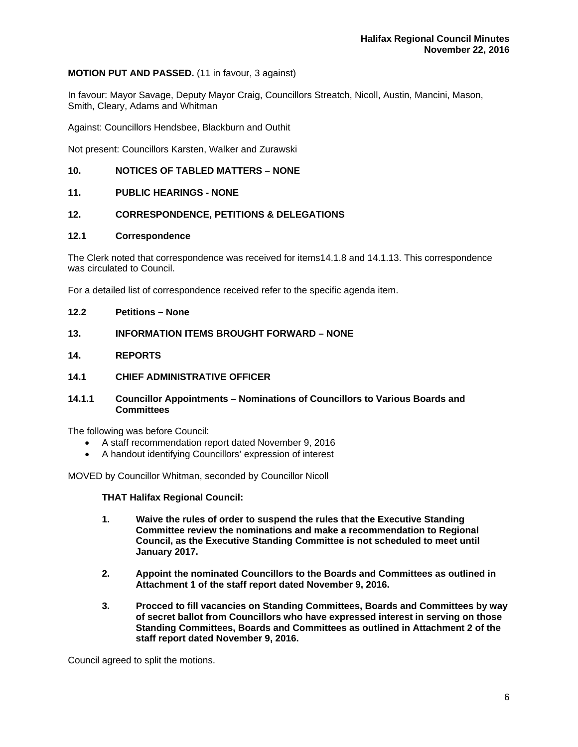# **MOTION PUT AND PASSED.** (11 in favour, 3 against)

In favour: Mayor Savage, Deputy Mayor Craig, Councillors Streatch, Nicoll, Austin, Mancini, Mason, Smith, Cleary, Adams and Whitman

Against: Councillors Hendsbee, Blackburn and Outhit

Not present: Councillors Karsten, Walker and Zurawski

# **10. NOTICES OF TABLED MATTERS – NONE**

#### **11. PUBLIC HEARINGS - NONE**

#### **12. CORRESPONDENCE, PETITIONS & DELEGATIONS**

#### **12.1 Correspondence**

The Clerk noted that correspondence was received for items14.1.8 and 14.1.13. This correspondence was circulated to Council.

For a detailed list of correspondence received refer to the specific agenda item.

#### **12.2 Petitions – None**

# **13. INFORMATION ITEMS BROUGHT FORWARD – NONE**

**14. REPORTS** 

#### **14.1 CHIEF ADMINISTRATIVE OFFICER**

# **14.1.1 Councillor Appointments – Nominations of Councillors to Various Boards and Committees**

The following was before Council:

- A staff recommendation report dated November 9, 2016
- A handout identifying Councillors' expression of interest

MOVED by Councillor Whitman, seconded by Councillor Nicoll

#### **THAT Halifax Regional Council:**

- **1. Waive the rules of order to suspend the rules that the Executive Standing Committee review the nominations and make a recommendation to Regional Council, as the Executive Standing Committee is not scheduled to meet until January 2017.**
- **2. Appoint the nominated Councillors to the Boards and Committees as outlined in Attachment 1 of the staff report dated November 9, 2016.**
- **3. Procced to fill vacancies on Standing Committees, Boards and Committees by way of secret ballot from Councillors who have expressed interest in serving on those Standing Committees, Boards and Committees as outlined in Attachment 2 of the staff report dated November 9, 2016.**

Council agreed to split the motions.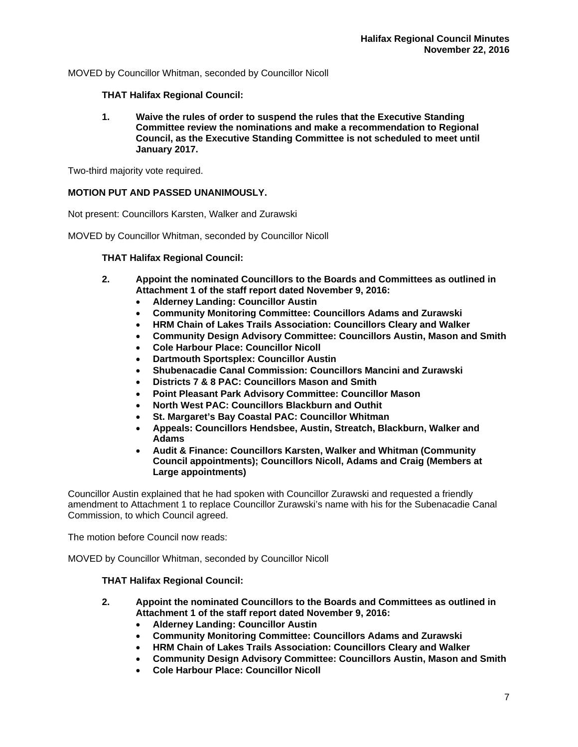MOVED by Councillor Whitman, seconded by Councillor Nicoll

# **THAT Halifax Regional Council:**

**1. Waive the rules of order to suspend the rules that the Executive Standing Committee review the nominations and make a recommendation to Regional Council, as the Executive Standing Committee is not scheduled to meet until January 2017.** 

Two-third majority vote required.

# **MOTION PUT AND PASSED UNANIMOUSLY.**

Not present: Councillors Karsten, Walker and Zurawski

MOVED by Councillor Whitman, seconded by Councillor Nicoll

# **THAT Halifax Regional Council:**

- **2. Appoint the nominated Councillors to the Boards and Committees as outlined in Attachment 1 of the staff report dated November 9, 2016:** 
	- **Alderney Landing: Councillor Austin**
	- **Community Monitoring Committee: Councillors Adams and Zurawski**
	- **HRM Chain of Lakes Trails Association: Councillors Cleary and Walker**
	- **Community Design Advisory Committee: Councillors Austin, Mason and Smith**
	- **Cole Harbour Place: Councillor Nicoll**
	- **Dartmouth Sportsplex: Councillor Austin**
	- **Shubenacadie Canal Commission: Councillors Mancini and Zurawski**
	- **Districts 7 & 8 PAC: Councillors Mason and Smith**
	- **Point Pleasant Park Advisory Committee: Councillor Mason**
	- **North West PAC: Councillors Blackburn and Outhit**
	- **St. Margaret's Bay Coastal PAC: Councillor Whitman**
	- **Appeals: Councillors Hendsbee, Austin, Streatch, Blackburn, Walker and Adams**
	- **Audit & Finance: Councillors Karsten, Walker and Whitman (Community Council appointments); Councillors Nicoll, Adams and Craig (Members at Large appointments)**

Councillor Austin explained that he had spoken with Councillor Zurawski and requested a friendly amendment to Attachment 1 to replace Councillor Zurawski's name with his for the Subenacadie Canal Commission, to which Council agreed.

The motion before Council now reads:

MOVED by Councillor Whitman, seconded by Councillor Nicoll

# **THAT Halifax Regional Council:**

- **2. Appoint the nominated Councillors to the Boards and Committees as outlined in Attachment 1 of the staff report dated November 9, 2016:**
	- **Alderney Landing: Councillor Austin**
	- **Community Monitoring Committee: Councillors Adams and Zurawski**
	- **HRM Chain of Lakes Trails Association: Councillors Cleary and Walker**
	- **Community Design Advisory Committee: Councillors Austin, Mason and Smith**
	- **Cole Harbour Place: Councillor Nicoll**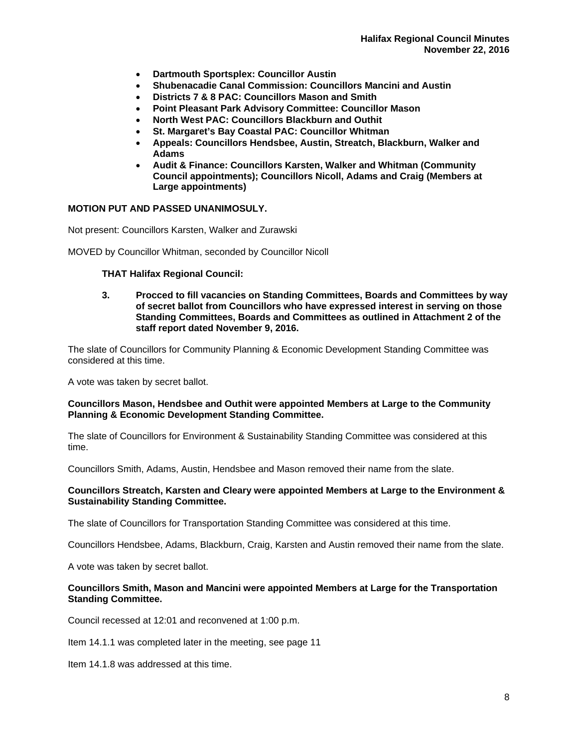- **Dartmouth Sportsplex: Councillor Austin**
- **Shubenacadie Canal Commission: Councillors Mancini and Austin**
- **Districts 7 & 8 PAC: Councillors Mason and Smith**
- **Point Pleasant Park Advisory Committee: Councillor Mason**
- **North West PAC: Councillors Blackburn and Outhit**
- **St. Margaret's Bay Coastal PAC: Councillor Whitman**
- **Appeals: Councillors Hendsbee, Austin, Streatch, Blackburn, Walker and Adams**
- **Audit & Finance: Councillors Karsten, Walker and Whitman (Community Council appointments); Councillors Nicoll, Adams and Craig (Members at Large appointments)**

# **MOTION PUT AND PASSED UNANIMOSULY.**

Not present: Councillors Karsten, Walker and Zurawski

MOVED by Councillor Whitman, seconded by Councillor Nicoll

# **THAT Halifax Regional Council:**

**3. Procced to fill vacancies on Standing Committees, Boards and Committees by way of secret ballot from Councillors who have expressed interest in serving on those Standing Committees, Boards and Committees as outlined in Attachment 2 of the staff report dated November 9, 2016.**

The slate of Councillors for Community Planning & Economic Development Standing Committee was considered at this time.

A vote was taken by secret ballot.

# **Councillors Mason, Hendsbee and Outhit were appointed Members at Large to the Community Planning & Economic Development Standing Committee.**

The slate of Councillors for Environment & Sustainability Standing Committee was considered at this time.

Councillors Smith, Adams, Austin, Hendsbee and Mason removed their name from the slate.

# **Councillors Streatch, Karsten and Cleary were appointed Members at Large to the Environment & Sustainability Standing Committee.**

The slate of Councillors for Transportation Standing Committee was considered at this time.

Councillors Hendsbee, Adams, Blackburn, Craig, Karsten and Austin removed their name from the slate.

A vote was taken by secret ballot.

# **Councillors Smith, Mason and Mancini were appointed Members at Large for the Transportation Standing Committee.**

Council recessed at 12:01 and reconvened at 1:00 p.m.

Item 14.1.1 was completed later in the meeting, see page 11

Item 14.1.8 was addressed at this time.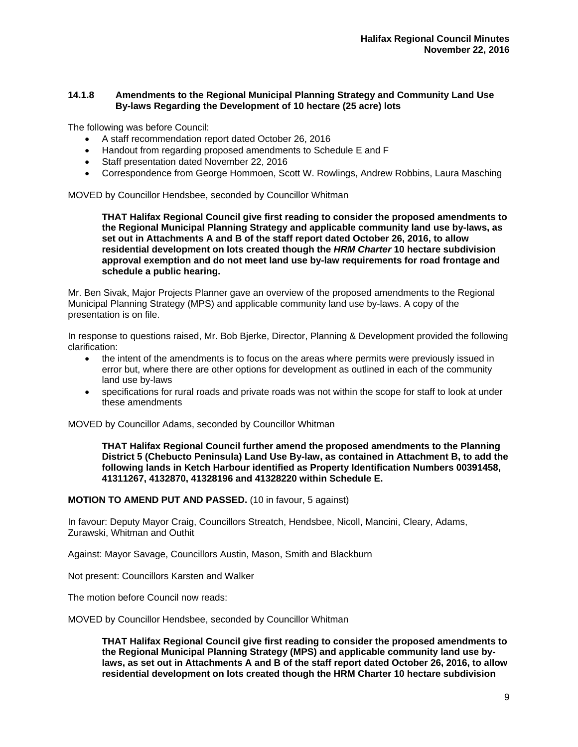# **14.1.8 Amendments to the Regional Municipal Planning Strategy and Community Land Use By-laws Regarding the Development of 10 hectare (25 acre) lots**

The following was before Council:

- A staff recommendation report dated October 26, 2016
- Handout from regarding proposed amendments to Schedule E and F
- Staff presentation dated November 22, 2016
- Correspondence from George Hommoen, Scott W. Rowlings, Andrew Robbins, Laura Masching

MOVED by Councillor Hendsbee, seconded by Councillor Whitman

**THAT Halifax Regional Council give first reading to consider the proposed amendments to the Regional Municipal Planning Strategy and applicable community land use by-laws, as set out in Attachments A and B of the staff report dated October 26, 2016, to allow residential development on lots created though the** *HRM Charter* **10 hectare subdivision approval exemption and do not meet land use by-law requirements for road frontage and schedule a public hearing.** 

Mr. Ben Sivak, Major Projects Planner gave an overview of the proposed amendments to the Regional Municipal Planning Strategy (MPS) and applicable community land use by-laws. A copy of the presentation is on file.

In response to questions raised, Mr. Bob Bjerke, Director, Planning & Development provided the following clarification:

- the intent of the amendments is to focus on the areas where permits were previously issued in error but, where there are other options for development as outlined in each of the community land use by-laws
- specifications for rural roads and private roads was not within the scope for staff to look at under these amendments

MOVED by Councillor Adams, seconded by Councillor Whitman

**THAT Halifax Regional Council further amend the proposed amendments to the Planning District 5 (Chebucto Peninsula) Land Use By-law, as contained in Attachment B, to add the following lands in Ketch Harbour identified as Property Identification Numbers 00391458, 41311267, 4132870, 41328196 and 41328220 within Schedule E.** 

# **MOTION TO AMEND PUT AND PASSED.** (10 in favour, 5 against)

In favour: Deputy Mayor Craig, Councillors Streatch, Hendsbee, Nicoll, Mancini, Cleary, Adams, Zurawski, Whitman and Outhit

Against: Mayor Savage, Councillors Austin, Mason, Smith and Blackburn

Not present: Councillors Karsten and Walker

The motion before Council now reads:

MOVED by Councillor Hendsbee, seconded by Councillor Whitman

**THAT Halifax Regional Council give first reading to consider the proposed amendments to the Regional Municipal Planning Strategy (MPS) and applicable community land use bylaws, as set out in Attachments A and B of the staff report dated October 26, 2016, to allow residential development on lots created though the HRM Charter 10 hectare subdivision**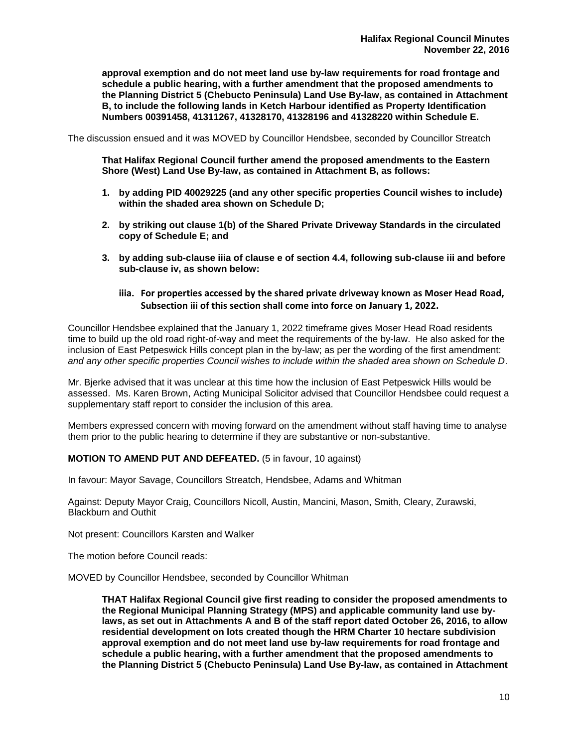**approval exemption and do not meet land use by-law requirements for road frontage and schedule a public hearing, with a further amendment that the proposed amendments to the Planning District 5 (Chebucto Peninsula) Land Use By-law, as contained in Attachment B, to include the following lands in Ketch Harbour identified as Property Identification Numbers 00391458, 41311267, 41328170, 41328196 and 41328220 within Schedule E.** 

The discussion ensued and it was MOVED by Councillor Hendsbee, seconded by Councillor Streatch

**That Halifax Regional Council further amend the proposed amendments to the Eastern Shore (West) Land Use By-law, as contained in Attachment B, as follows:** 

- **1. by adding PID 40029225 (and any other specific properties Council wishes to include) within the shaded area shown on Schedule D;**
- **2. by striking out clause 1(b) of the Shared Private Driveway Standards in the circulated copy of Schedule E; and**
- **3. by adding sub-clause iiia of clause e of section 4.4, following sub-clause iii and before sub-clause iv, as shown below:** 
	- **iiia. For properties accessed by the shared private driveway known as Moser Head Road, Subsection iii of this section shall come into force on January 1, 2022.**

Councillor Hendsbee explained that the January 1, 2022 timeframe gives Moser Head Road residents time to build up the old road right-of-way and meet the requirements of the by-law. He also asked for the inclusion of East Petpeswick Hills concept plan in the by-law; as per the wording of the first amendment: *and any other specific properties Council wishes to include within the shaded area shown on Schedule D*.

Mr. Bjerke advised that it was unclear at this time how the inclusion of East Petpeswick Hills would be assessed. Ms. Karen Brown, Acting Municipal Solicitor advised that Councillor Hendsbee could request a supplementary staff report to consider the inclusion of this area.

Members expressed concern with moving forward on the amendment without staff having time to analyse them prior to the public hearing to determine if they are substantive or non-substantive.

# **MOTION TO AMEND PUT AND DEFEATED.** (5 in favour, 10 against)

In favour: Mayor Savage, Councillors Streatch, Hendsbee, Adams and Whitman

Against: Deputy Mayor Craig, Councillors Nicoll, Austin, Mancini, Mason, Smith, Cleary, Zurawski, Blackburn and Outhit

Not present: Councillors Karsten and Walker

The motion before Council reads:

MOVED by Councillor Hendsbee, seconded by Councillor Whitman

**THAT Halifax Regional Council give first reading to consider the proposed amendments to the Regional Municipal Planning Strategy (MPS) and applicable community land use bylaws, as set out in Attachments A and B of the staff report dated October 26, 2016, to allow residential development on lots created though the HRM Charter 10 hectare subdivision approval exemption and do not meet land use by-law requirements for road frontage and schedule a public hearing, with a further amendment that the proposed amendments to the Planning District 5 (Chebucto Peninsula) Land Use By-law, as contained in Attachment**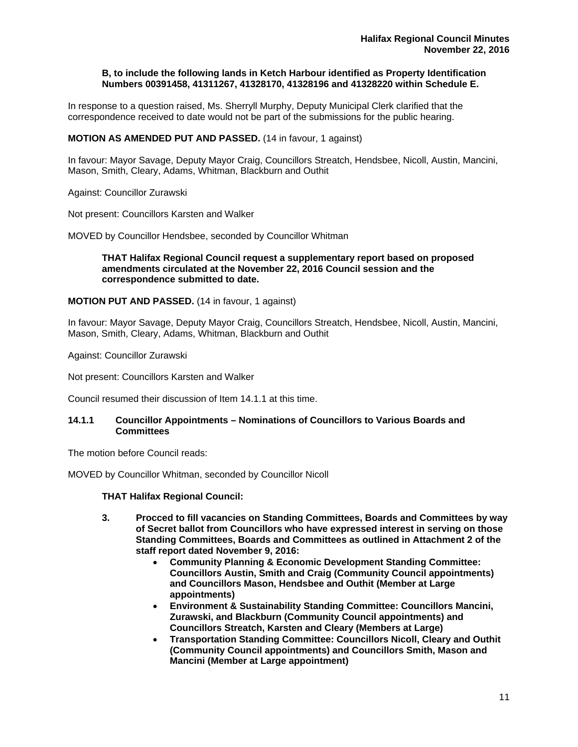#### **B, to include the following lands in Ketch Harbour identified as Property Identification Numbers 00391458, 41311267, 41328170, 41328196 and 41328220 within Schedule E.**

In response to a question raised, Ms. Sherryll Murphy, Deputy Municipal Clerk clarified that the correspondence received to date would not be part of the submissions for the public hearing.

# **MOTION AS AMENDED PUT AND PASSED.** (14 in favour, 1 against)

In favour: Mayor Savage, Deputy Mayor Craig, Councillors Streatch, Hendsbee, Nicoll, Austin, Mancini, Mason, Smith, Cleary, Adams, Whitman, Blackburn and Outhit

Against: Councillor Zurawski

Not present: Councillors Karsten and Walker

MOVED by Councillor Hendsbee, seconded by Councillor Whitman

# **THAT Halifax Regional Council request a supplementary report based on proposed amendments circulated at the November 22, 2016 Council session and the correspondence submitted to date.**

**MOTION PUT AND PASSED.** (14 in favour, 1 against)

In favour: Mayor Savage, Deputy Mayor Craig, Councillors Streatch, Hendsbee, Nicoll, Austin, Mancini, Mason, Smith, Cleary, Adams, Whitman, Blackburn and Outhit

Against: Councillor Zurawski

Not present: Councillors Karsten and Walker

Council resumed their discussion of Item 14.1.1 at this time.

#### **14.1.1 Councillor Appointments – Nominations of Councillors to Various Boards and Committees**

The motion before Council reads:

MOVED by Councillor Whitman, seconded by Councillor Nicoll

# **THAT Halifax Regional Council:**

- **3. Procced to fill vacancies on Standing Committees, Boards and Committees by way of Secret ballot from Councillors who have expressed interest in serving on those Standing Committees, Boards and Committees as outlined in Attachment 2 of the staff report dated November 9, 2016:** 
	- **Community Planning & Economic Development Standing Committee: Councillors Austin, Smith and Craig (Community Council appointments) and Councillors Mason, Hendsbee and Outhit (Member at Large appointments)**
	- **Environment & Sustainability Standing Committee: Councillors Mancini, Zurawski, and Blackburn (Community Council appointments) and Councillors Streatch, Karsten and Cleary (Members at Large)**
	- **Transportation Standing Committee: Councillors Nicoll, Cleary and Outhit (Community Council appointments) and Councillors Smith, Mason and Mancini (Member at Large appointment)**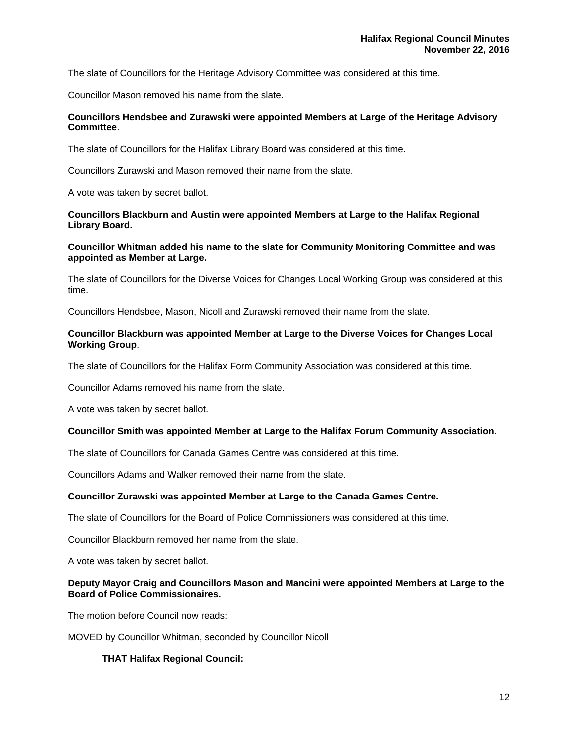The slate of Councillors for the Heritage Advisory Committee was considered at this time.

Councillor Mason removed his name from the slate.

# **Councillors Hendsbee and Zurawski were appointed Members at Large of the Heritage Advisory Committee**.

The slate of Councillors for the Halifax Library Board was considered at this time.

Councillors Zurawski and Mason removed their name from the slate.

A vote was taken by secret ballot.

# **Councillors Blackburn and Austin were appointed Members at Large to the Halifax Regional Library Board.**

# **Councillor Whitman added his name to the slate for Community Monitoring Committee and was appointed as Member at Large.**

The slate of Councillors for the Diverse Voices for Changes Local Working Group was considered at this time.

Councillors Hendsbee, Mason, Nicoll and Zurawski removed their name from the slate.

# **Councillor Blackburn was appointed Member at Large to the Diverse Voices for Changes Local Working Group**.

The slate of Councillors for the Halifax Form Community Association was considered at this time.

Councillor Adams removed his name from the slate.

A vote was taken by secret ballot.

# **Councillor Smith was appointed Member at Large to the Halifax Forum Community Association.**

The slate of Councillors for Canada Games Centre was considered at this time.

Councillors Adams and Walker removed their name from the slate.

# **Councillor Zurawski was appointed Member at Large to the Canada Games Centre.**

The slate of Councillors for the Board of Police Commissioners was considered at this time.

Councillor Blackburn removed her name from the slate.

A vote was taken by secret ballot.

# **Deputy Mayor Craig and Councillors Mason and Mancini were appointed Members at Large to the Board of Police Commissionaires.**

The motion before Council now reads:

MOVED by Councillor Whitman, seconded by Councillor Nicoll

# **THAT Halifax Regional Council:**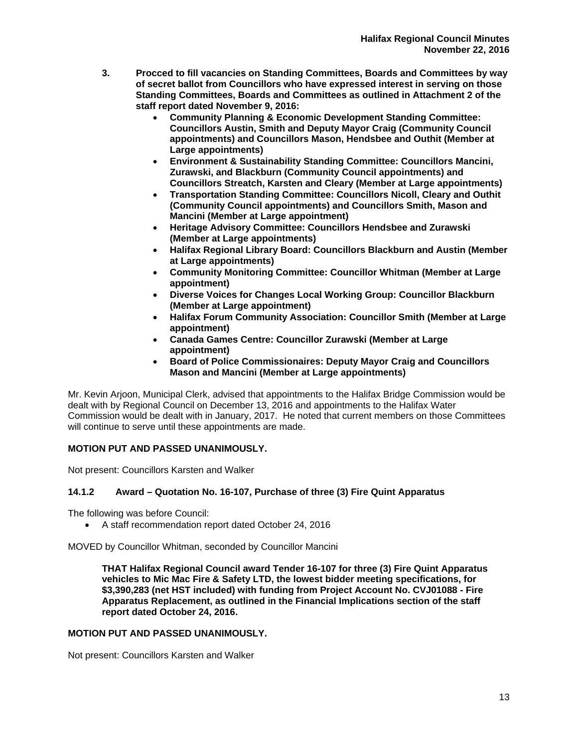- **3. Procced to fill vacancies on Standing Committees, Boards and Committees by way of secret ballot from Councillors who have expressed interest in serving on those Standing Committees, Boards and Committees as outlined in Attachment 2 of the staff report dated November 9, 2016:** 
	- **Community Planning & Economic Development Standing Committee: Councillors Austin, Smith and Deputy Mayor Craig (Community Council appointments) and Councillors Mason, Hendsbee and Outhit (Member at Large appointments)**
	- **Environment & Sustainability Standing Committee: Councillors Mancini, Zurawski, and Blackburn (Community Council appointments) and Councillors Streatch, Karsten and Cleary (Member at Large appointments)**
	- **Transportation Standing Committee: Councillors Nicoll, Cleary and Outhit (Community Council appointments) and Councillors Smith, Mason and Mancini (Member at Large appointment)**
	- **Heritage Advisory Committee: Councillors Hendsbee and Zurawski (Member at Large appointments)**
	- **Halifax Regional Library Board: Councillors Blackburn and Austin (Member at Large appointments)**
	- **Community Monitoring Committee: Councillor Whitman (Member at Large appointment)**
	- **Diverse Voices for Changes Local Working Group: Councillor Blackburn (Member at Large appointment)**
	- **Halifax Forum Community Association: Councillor Smith (Member at Large appointment)**
	- **Canada Games Centre: Councillor Zurawski (Member at Large appointment)**
	- **Board of Police Commissionaires: Deputy Mayor Craig and Councillors Mason and Mancini (Member at Large appointments)**

Mr. Kevin Arjoon, Municipal Clerk, advised that appointments to the Halifax Bridge Commission would be dealt with by Regional Council on December 13, 2016 and appointments to the Halifax Water Commission would be dealt with in January, 2017. He noted that current members on those Committees will continue to serve until these appointments are made.

# **MOTION PUT AND PASSED UNANIMOUSLY.**

Not present: Councillors Karsten and Walker

# **14.1.2 Award – Quotation No. 16-107, Purchase of three (3) Fire Quint Apparatus**

The following was before Council:

A staff recommendation report dated October 24, 2016

MOVED by Councillor Whitman, seconded by Councillor Mancini

**THAT Halifax Regional Council award Tender 16-107 for three (3) Fire Quint Apparatus vehicles to Mic Mac Fire & Safety LTD, the lowest bidder meeting specifications, for \$3,390,283 (net HST included) with funding from Project Account No. CVJ01088 - Fire Apparatus Replacement, as outlined in the Financial Implications section of the staff report dated October 24, 2016.** 

# **MOTION PUT AND PASSED UNANIMOUSLY.**

Not present: Councillors Karsten and Walker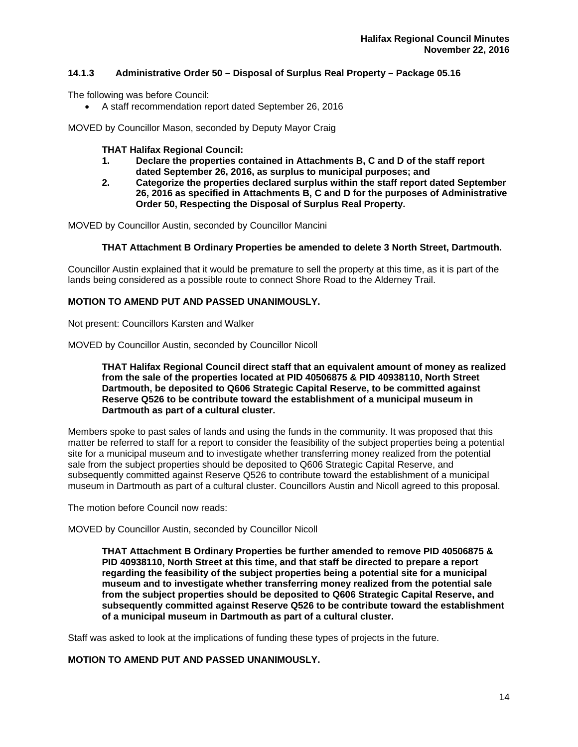# **14.1.3 Administrative Order 50 – Disposal of Surplus Real Property – Package 05.16**

The following was before Council:

A staff recommendation report dated September 26, 2016

MOVED by Councillor Mason, seconded by Deputy Mayor Craig

# **THAT Halifax Regional Council:**

- **1. Declare the properties contained in Attachments B, C and D of the staff report dated September 26, 2016, as surplus to municipal purposes; and**
- **2. Categorize the properties declared surplus within the staff report dated September 26, 2016 as specified in Attachments B, C and D for the purposes of Administrative Order 50, Respecting the Disposal of Surplus Real Property.**

MOVED by Councillor Austin, seconded by Councillor Mancini

# **THAT Attachment B Ordinary Properties be amended to delete 3 North Street, Dartmouth.**

Councillor Austin explained that it would be premature to sell the property at this time, as it is part of the lands being considered as a possible route to connect Shore Road to the Alderney Trail.

# **MOTION TO AMEND PUT AND PASSED UNANIMOUSLY.**

Not present: Councillors Karsten and Walker

MOVED by Councillor Austin, seconded by Councillor Nicoll

# **THAT Halifax Regional Council direct staff that an equivalent amount of money as realized from the sale of the properties located at PID 40506875 & PID 40938110, North Street Dartmouth, be deposited to Q606 Strategic Capital Reserve, to be committed against Reserve Q526 to be contribute toward the establishment of a municipal museum in Dartmouth as part of a cultural cluster.**

Members spoke to past sales of lands and using the funds in the community. It was proposed that this matter be referred to staff for a report to consider the feasibility of the subject properties being a potential site for a municipal museum and to investigate whether transferring money realized from the potential sale from the subject properties should be deposited to Q606 Strategic Capital Reserve, and subsequently committed against Reserve Q526 to contribute toward the establishment of a municipal museum in Dartmouth as part of a cultural cluster. Councillors Austin and Nicoll agreed to this proposal.

The motion before Council now reads:

MOVED by Councillor Austin, seconded by Councillor Nicoll

**THAT Attachment B Ordinary Properties be further amended to remove PID 40506875 & PID 40938110, North Street at this time, and that staff be directed to prepare a report regarding the feasibility of the subject properties being a potential site for a municipal museum and to investigate whether transferring money realized from the potential sale from the subject properties should be deposited to Q606 Strategic Capital Reserve, and subsequently committed against Reserve Q526 to be contribute toward the establishment of a municipal museum in Dartmouth as part of a cultural cluster.** 

Staff was asked to look at the implications of funding these types of projects in the future.

# **MOTION TO AMEND PUT AND PASSED UNANIMOUSLY.**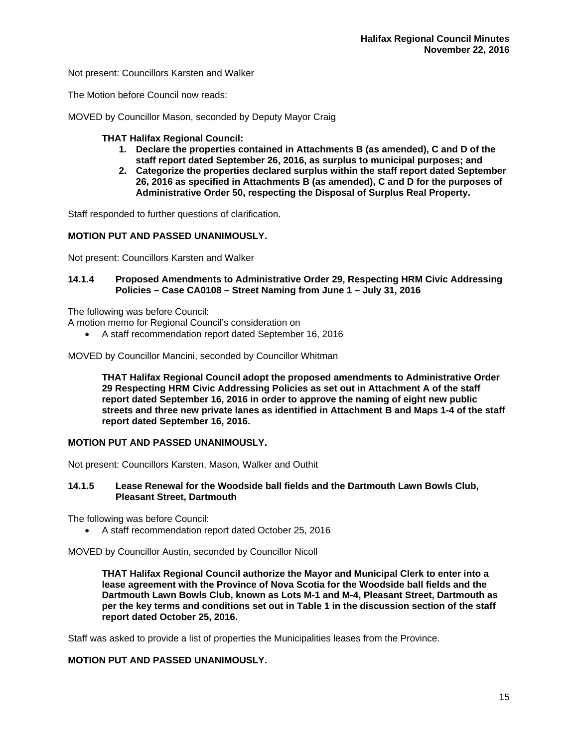Not present: Councillors Karsten and Walker

The Motion before Council now reads:

MOVED by Councillor Mason, seconded by Deputy Mayor Craig

# **THAT Halifax Regional Council:**

- **1. Declare the properties contained in Attachments B (as amended), C and D of the staff report dated September 26, 2016, as surplus to municipal purposes; and**
- **2. Categorize the properties declared surplus within the staff report dated September 26, 2016 as specified in Attachments B (as amended), C and D for the purposes of Administrative Order 50, respecting the Disposal of Surplus Real Property.**

Staff responded to further questions of clarification.

# **MOTION PUT AND PASSED UNANIMOUSLY.**

Not present: Councillors Karsten and Walker

# **14.1.4 Proposed Amendments to Administrative Order 29, Respecting HRM Civic Addressing Policies – Case CA0108 – Street Naming from June 1 – July 31, 2016**

The following was before Council:

A motion memo for Regional Council's consideration on

A staff recommendation report dated September 16, 2016

MOVED by Councillor Mancini, seconded by Councillor Whitman

**THAT Halifax Regional Council adopt the proposed amendments to Administrative Order 29 Respecting HRM Civic Addressing Policies as set out in Attachment A of the staff report dated September 16, 2016 in order to approve the naming of eight new public streets and three new private lanes as identified in Attachment B and Maps 1-4 of the staff report dated September 16, 2016.** 

# **MOTION PUT AND PASSED UNANIMOUSLY.**

Not present: Councillors Karsten, Mason, Walker and Outhit

# **14.1.5 Lease Renewal for the Woodside ball fields and the Dartmouth Lawn Bowls Club, Pleasant Street, Dartmouth**

The following was before Council:

A staff recommendation report dated October 25, 2016

MOVED by Councillor Austin, seconded by Councillor Nicoll

**THAT Halifax Regional Council authorize the Mayor and Municipal Clerk to enter into a lease agreement with the Province of Nova Scotia for the Woodside ball fields and the Dartmouth Lawn Bowls Club, known as Lots M-1 and M-4, Pleasant Street, Dartmouth as per the key terms and conditions set out in Table 1 in the discussion section of the staff report dated October 25, 2016.** 

Staff was asked to provide a list of properties the Municipalities leases from the Province.

# **MOTION PUT AND PASSED UNANIMOUSLY.**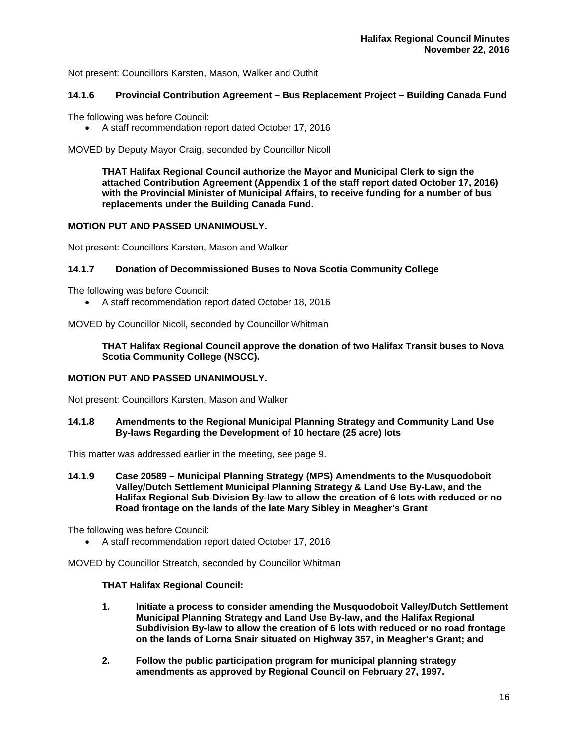Not present: Councillors Karsten, Mason, Walker and Outhit

# **14.1.6 Provincial Contribution Agreement – Bus Replacement Project – Building Canada Fund**

The following was before Council:

A staff recommendation report dated October 17, 2016

MOVED by Deputy Mayor Craig, seconded by Councillor Nicoll

**THAT Halifax Regional Council authorize the Mayor and Municipal Clerk to sign the attached Contribution Agreement (Appendix 1 of the staff report dated October 17, 2016) with the Provincial Minister of Municipal Affairs, to receive funding for a number of bus replacements under the Building Canada Fund.** 

# **MOTION PUT AND PASSED UNANIMOUSLY.**

Not present: Councillors Karsten, Mason and Walker

# **14.1.7 Donation of Decommissioned Buses to Nova Scotia Community College**

The following was before Council:

A staff recommendation report dated October 18, 2016

MOVED by Councillor Nicoll, seconded by Councillor Whitman

**THAT Halifax Regional Council approve the donation of two Halifax Transit buses to Nova Scotia Community College (NSCC).**

# **MOTION PUT AND PASSED UNANIMOUSLY.**

Not present: Councillors Karsten, Mason and Walker

**14.1.8 Amendments to the Regional Municipal Planning Strategy and Community Land Use By-laws Regarding the Development of 10 hectare (25 acre) lots** 

This matter was addressed earlier in the meeting, see page 9.

**14.1.9 Case 20589 – Municipal Planning Strategy (MPS) Amendments to the Musquodoboit Valley/Dutch Settlement Municipal Planning Strategy & Land Use By-Law, and the Halifax Regional Sub-Division By-law to allow the creation of 6 lots with reduced or no Road frontage on the lands of the late Mary Sibley in Meagher's Grant** 

The following was before Council:

A staff recommendation report dated October 17, 2016

MOVED by Councillor Streatch, seconded by Councillor Whitman

# **THAT Halifax Regional Council:**

- **1. Initiate a process to consider amending the Musquodoboit Valley/Dutch Settlement Municipal Planning Strategy and Land Use By-law, and the Halifax Regional Subdivision By-law to allow the creation of 6 lots with reduced or no road frontage on the lands of Lorna Snair situated on Highway 357, in Meagher's Grant; and**
- **2. Follow the public participation program for municipal planning strategy amendments as approved by Regional Council on February 27, 1997.**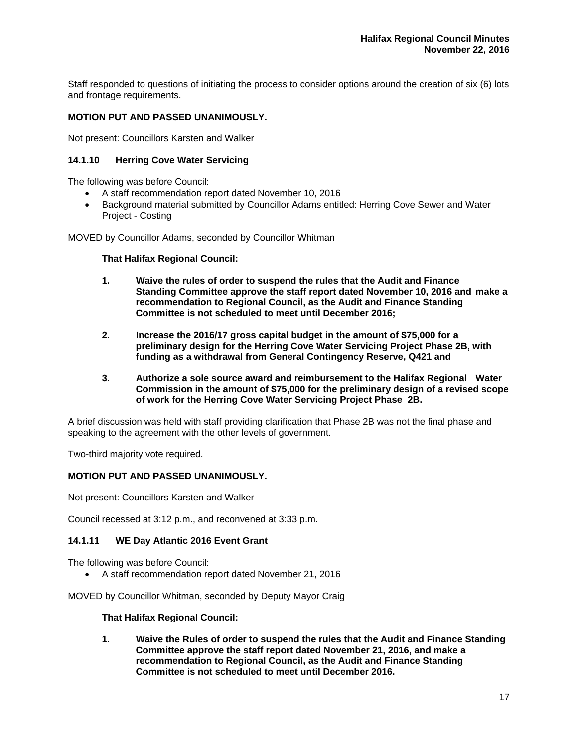Staff responded to questions of initiating the process to consider options around the creation of six (6) lots and frontage requirements.

# **MOTION PUT AND PASSED UNANIMOUSLY.**

Not present: Councillors Karsten and Walker

# **14.1.10 Herring Cove Water Servicing**

The following was before Council:

- A staff recommendation report dated November 10, 2016
- Background material submitted by Councillor Adams entitled: Herring Cove Sewer and Water Project - Costing

MOVED by Councillor Adams, seconded by Councillor Whitman

# **That Halifax Regional Council:**

- **1. Waive the rules of order to suspend the rules that the Audit and Finance Standing Committee approve the staff report dated November 10, 2016 and make a recommendation to Regional Council, as the Audit and Finance Standing Committee is not scheduled to meet until December 2016;**
- **2. Increase the 2016/17 gross capital budget in the amount of \$75,000 for a preliminary design for the Herring Cove Water Servicing Project Phase 2B, with funding as a withdrawal from General Contingency Reserve, Q421 and**
- **3. Authorize a sole source award and reimbursement to the Halifax Regional Water Commission in the amount of \$75,000 for the preliminary design of a revised scope of work for the Herring Cove Water Servicing Project Phase 2B.**

A brief discussion was held with staff providing clarification that Phase 2B was not the final phase and speaking to the agreement with the other levels of government.

Two-third majority vote required.

#### **MOTION PUT AND PASSED UNANIMOUSLY.**

Not present: Councillors Karsten and Walker

Council recessed at 3:12 p.m., and reconvened at 3:33 p.m.

# **14.1.11 WE Day Atlantic 2016 Event Grant**

The following was before Council:

A staff recommendation report dated November 21, 2016

MOVED by Councillor Whitman, seconded by Deputy Mayor Craig

#### **That Halifax Regional Council:**

**1. Waive the Rules of order to suspend the rules that the Audit and Finance Standing Committee approve the staff report dated November 21, 2016, and make a recommendation to Regional Council, as the Audit and Finance Standing Committee is not scheduled to meet until December 2016.**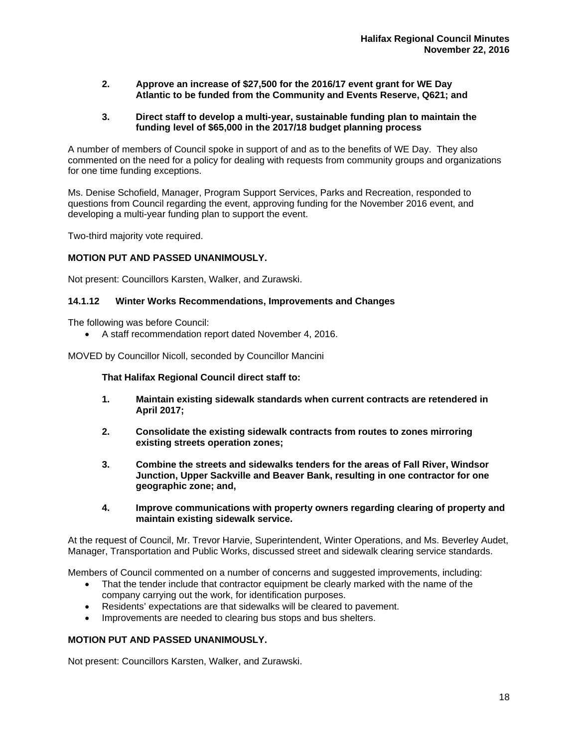- **2. Approve an increase of \$27,500 for the 2016/17 event grant for WE Day Atlantic to be funded from the Community and Events Reserve, Q621; and**
- **3. Direct staff to develop a multi-year, sustainable funding plan to maintain the funding level of \$65,000 in the 2017/18 budget planning process**

A number of members of Council spoke in support of and as to the benefits of WE Day. They also commented on the need for a policy for dealing with requests from community groups and organizations for one time funding exceptions.

Ms. Denise Schofield, Manager, Program Support Services, Parks and Recreation, responded to questions from Council regarding the event, approving funding for the November 2016 event, and developing a multi-year funding plan to support the event.

Two-third majority vote required.

# **MOTION PUT AND PASSED UNANIMOUSLY.**

Not present: Councillors Karsten, Walker, and Zurawski.

#### **14.1.12 Winter Works Recommendations, Improvements and Changes**

The following was before Council:

A staff recommendation report dated November 4, 2016.

MOVED by Councillor Nicoll, seconded by Councillor Mancini

**That Halifax Regional Council direct staff to:** 

- **1. Maintain existing sidewalk standards when current contracts are retendered in April 2017;**
- **2. Consolidate the existing sidewalk contracts from routes to zones mirroring existing streets operation zones;**
- **3. Combine the streets and sidewalks tenders for the areas of Fall River, Windsor Junction, Upper Sackville and Beaver Bank, resulting in one contractor for one geographic zone; and,**
- **4. Improve communications with property owners regarding clearing of property and maintain existing sidewalk service.**

At the request of Council, Mr. Trevor Harvie, Superintendent, Winter Operations, and Ms. Beverley Audet, Manager, Transportation and Public Works, discussed street and sidewalk clearing service standards.

Members of Council commented on a number of concerns and suggested improvements, including:

- That the tender include that contractor equipment be clearly marked with the name of the company carrying out the work, for identification purposes.
- Residents' expectations are that sidewalks will be cleared to pavement.
- Improvements are needed to clearing bus stops and bus shelters.

# **MOTION PUT AND PASSED UNANIMOUSLY.**

Not present: Councillors Karsten, Walker, and Zurawski.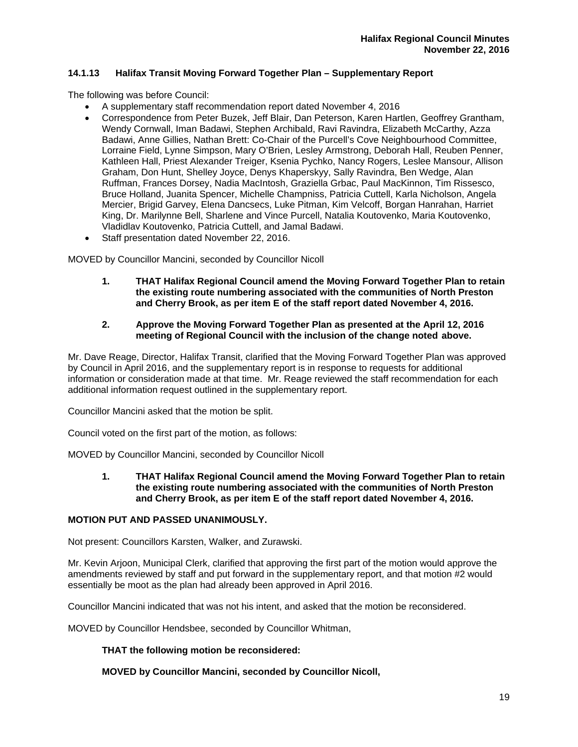# **14.1.13 Halifax Transit Moving Forward Together Plan – Supplementary Report**

The following was before Council:

- A supplementary staff recommendation report dated November 4, 2016
	- Correspondence from Peter Buzek, Jeff Blair, Dan Peterson, Karen Hartlen, Geoffrey Grantham, Wendy Cornwall, Iman Badawi, Stephen Archibald, Ravi Ravindra, Elizabeth McCarthy, Azza Badawi, Anne Gillies, Nathan Brett: Co-Chair of the Purcell's Cove Neighbourhood Committee, Lorraine Field, Lynne Simpson, Mary O'Brien, Lesley Armstrong, Deborah Hall, Reuben Penner, Kathleen Hall, Priest Alexander Treiger, Ksenia Pychko, Nancy Rogers, Leslee Mansour, Allison Graham, Don Hunt, Shelley Joyce, Denys Khaperskyy, Sally Ravindra, Ben Wedge, Alan Ruffman, Frances Dorsey, Nadia MacIntosh, Graziella Grbac, Paul MacKinnon, Tim Rissesco, Bruce Holland, Juanita Spencer, Michelle Champniss, Patricia Cuttell, Karla Nicholson, Angela Mercier, Brigid Garvey, Elena Dancsecs, Luke Pitman, Kim Velcoff, Borgan Hanrahan, Harriet King, Dr. Marilynne Bell, Sharlene and Vince Purcell, Natalia Koutovenko, Maria Koutovenko, Vladidlav Koutovenko, Patricia Cuttell, and Jamal Badawi.
- Staff presentation dated November 22, 2016.

MOVED by Councillor Mancini, seconded by Councillor Nicoll

**1. THAT Halifax Regional Council amend the Moving Forward Together Plan to retain the existing route numbering associated with the communities of North Preston and Cherry Brook, as per item E of the staff report dated November 4, 2016.** 

# **2. Approve the Moving Forward Together Plan as presented at the April 12, 2016 meeting of Regional Council with the inclusion of the change noted above.**

Mr. Dave Reage, Director, Halifax Transit, clarified that the Moving Forward Together Plan was approved by Council in April 2016, and the supplementary report is in response to requests for additional information or consideration made at that time. Mr. Reage reviewed the staff recommendation for each additional information request outlined in the supplementary report.

Councillor Mancini asked that the motion be split.

Council voted on the first part of the motion, as follows:

MOVED by Councillor Mancini, seconded by Councillor Nicoll

**1. THAT Halifax Regional Council amend the Moving Forward Together Plan to retain the existing route numbering associated with the communities of North Preston and Cherry Brook, as per item E of the staff report dated November 4, 2016.** 

# **MOTION PUT AND PASSED UNANIMOUSLY.**

Not present: Councillors Karsten, Walker, and Zurawski.

Mr. Kevin Arjoon, Municipal Clerk, clarified that approving the first part of the motion would approve the amendments reviewed by staff and put forward in the supplementary report, and that motion #2 would essentially be moot as the plan had already been approved in April 2016.

Councillor Mancini indicated that was not his intent, and asked that the motion be reconsidered.

MOVED by Councillor Hendsbee, seconded by Councillor Whitman,

# **THAT the following motion be reconsidered:**

# **MOVED by Councillor Mancini, seconded by Councillor Nicoll,**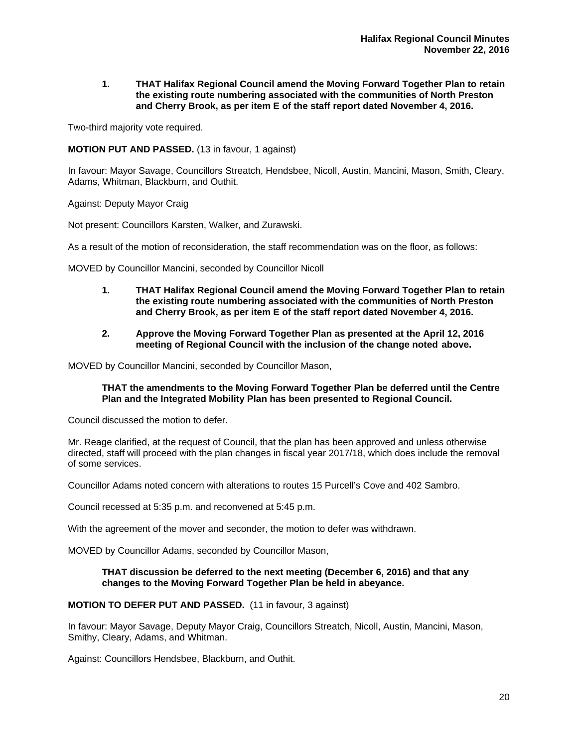#### **1. THAT Halifax Regional Council amend the Moving Forward Together Plan to retain the existing route numbering associated with the communities of North Preston and Cherry Brook, as per item E of the staff report dated November 4, 2016.**

Two-third majority vote required.

# **MOTION PUT AND PASSED.** (13 in favour, 1 against)

In favour: Mayor Savage, Councillors Streatch, Hendsbee, Nicoll, Austin, Mancini, Mason, Smith, Cleary, Adams, Whitman, Blackburn, and Outhit.

Against: Deputy Mayor Craig

Not present: Councillors Karsten, Walker, and Zurawski.

As a result of the motion of reconsideration, the staff recommendation was on the floor, as follows:

MOVED by Councillor Mancini, seconded by Councillor Nicoll

- **1. THAT Halifax Regional Council amend the Moving Forward Together Plan to retain the existing route numbering associated with the communities of North Preston and Cherry Brook, as per item E of the staff report dated November 4, 2016.**
- **2. Approve the Moving Forward Together Plan as presented at the April 12, 2016 meeting of Regional Council with the inclusion of the change noted above.**

MOVED by Councillor Mancini, seconded by Councillor Mason,

#### **THAT the amendments to the Moving Forward Together Plan be deferred until the Centre Plan and the Integrated Mobility Plan has been presented to Regional Council.**

Council discussed the motion to defer.

Mr. Reage clarified, at the request of Council, that the plan has been approved and unless otherwise directed, staff will proceed with the plan changes in fiscal year 2017/18, which does include the removal of some services.

Councillor Adams noted concern with alterations to routes 15 Purcell's Cove and 402 Sambro.

Council recessed at 5:35 p.m. and reconvened at 5:45 p.m.

With the agreement of the mover and seconder, the motion to defer was withdrawn.

MOVED by Councillor Adams, seconded by Councillor Mason,

# **THAT discussion be deferred to the next meeting (December 6, 2016) and that any changes to the Moving Forward Together Plan be held in abeyance.**

# **MOTION TO DEFER PUT AND PASSED.** (11 in favour, 3 against)

In favour: Mayor Savage, Deputy Mayor Craig, Councillors Streatch, Nicoll, Austin, Mancini, Mason, Smithy, Cleary, Adams, and Whitman.

Against: Councillors Hendsbee, Blackburn, and Outhit.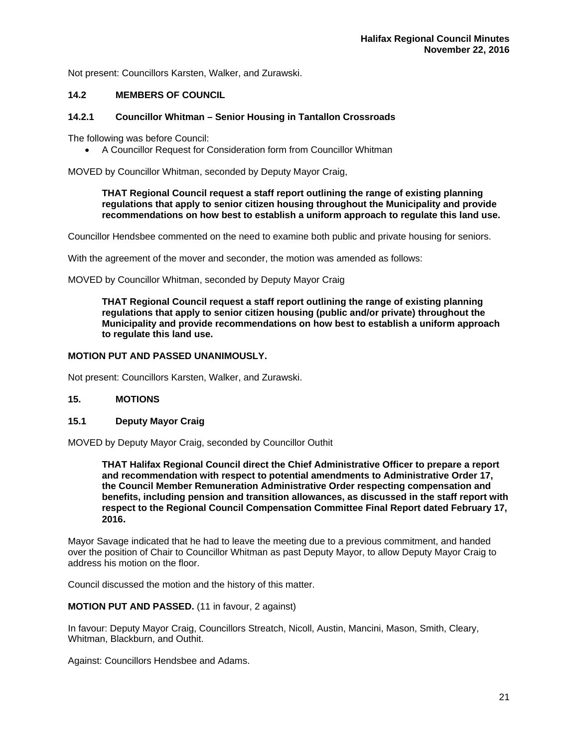Not present: Councillors Karsten, Walker, and Zurawski.

# **14.2 MEMBERS OF COUNCIL**

# **14.2.1 Councillor Whitman – Senior Housing in Tantallon Crossroads**

The following was before Council:

A Councillor Request for Consideration form from Councillor Whitman

MOVED by Councillor Whitman, seconded by Deputy Mayor Craig,

# **THAT Regional Council request a staff report outlining the range of existing planning regulations that apply to senior citizen housing throughout the Municipality and provide recommendations on how best to establish a uniform approach to regulate this land use.**

Councillor Hendsbee commented on the need to examine both public and private housing for seniors.

With the agreement of the mover and seconder, the motion was amended as follows:

MOVED by Councillor Whitman, seconded by Deputy Mayor Craig

**THAT Regional Council request a staff report outlining the range of existing planning regulations that apply to senior citizen housing (public and/or private) throughout the Municipality and provide recommendations on how best to establish a uniform approach to regulate this land use.** 

# **MOTION PUT AND PASSED UNANIMOUSLY.**

Not present: Councillors Karsten, Walker, and Zurawski.

# **15. MOTIONS**

# **15.1 Deputy Mayor Craig**

MOVED by Deputy Mayor Craig, seconded by Councillor Outhit

**THAT Halifax Regional Council direct the Chief Administrative Officer to prepare a report and recommendation with respect to potential amendments to Administrative Order 17, the Council Member Remuneration Administrative Order respecting compensation and benefits, including pension and transition allowances, as discussed in the staff report with respect to the Regional Council Compensation Committee Final Report dated February 17, 2016.**

Mayor Savage indicated that he had to leave the meeting due to a previous commitment, and handed over the position of Chair to Councillor Whitman as past Deputy Mayor, to allow Deputy Mayor Craig to address his motion on the floor.

Council discussed the motion and the history of this matter.

**MOTION PUT AND PASSED.** (11 in favour, 2 against)

In favour: Deputy Mayor Craig, Councillors Streatch, Nicoll, Austin, Mancini, Mason, Smith, Cleary, Whitman, Blackburn, and Outhit.

Against: Councillors Hendsbee and Adams.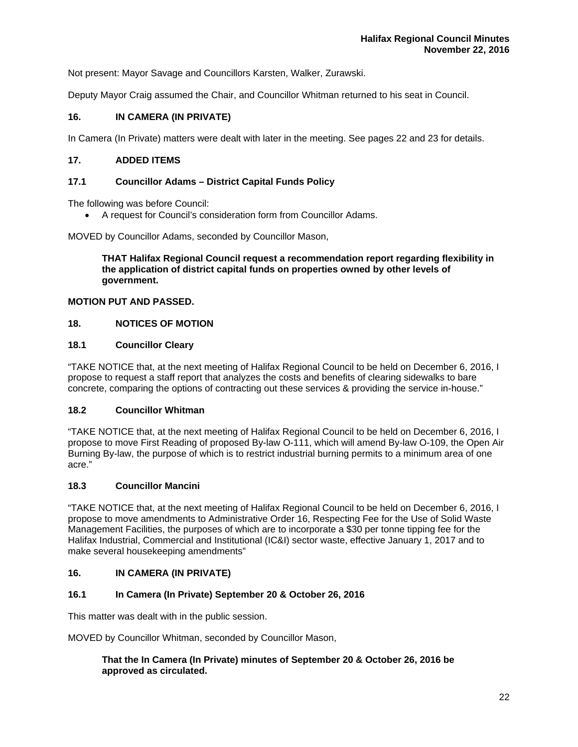Not present: Mayor Savage and Councillors Karsten, Walker, Zurawski.

Deputy Mayor Craig assumed the Chair, and Councillor Whitman returned to his seat in Council.

# **16. IN CAMERA (IN PRIVATE)**

In Camera (In Private) matters were dealt with later in the meeting. See pages 22 and 23 for details.

# **17. ADDED ITEMS**

# **17.1 Councillor Adams – District Capital Funds Policy**

The following was before Council:

A request for Council's consideration form from Councillor Adams.

MOVED by Councillor Adams, seconded by Councillor Mason,

**THAT Halifax Regional Council request a recommendation report regarding flexibility in the application of district capital funds on properties owned by other levels of government.** 

# **MOTION PUT AND PASSED.**

# **18. NOTICES OF MOTION**

# **18.1 Councillor Cleary**

"TAKE NOTICE that, at the next meeting of Halifax Regional Council to be held on December 6, 2016, I propose to request a staff report that analyzes the costs and benefits of clearing sidewalks to bare concrete, comparing the options of contracting out these services & providing the service in-house."

# **18.2 Councillor Whitman**

"TAKE NOTICE that, at the next meeting of Halifax Regional Council to be held on December 6, 2016, I propose to move First Reading of proposed By-law O-111, which will amend By-law O-109, the Open Air Burning By-law, the purpose of which is to restrict industrial burning permits to a minimum area of one acre."

# **18.3 Councillor Mancini**

"TAKE NOTICE that, at the next meeting of Halifax Regional Council to be held on December 6, 2016, I propose to move amendments to Administrative Order 16, Respecting Fee for the Use of Solid Waste Management Facilities, the purposes of which are to incorporate a \$30 per tonne tipping fee for the Halifax Industrial, Commercial and Institutional (IC&I) sector waste, effective January 1, 2017 and to make several housekeeping amendments"

# **16. IN CAMERA (IN PRIVATE)**

# **16.1 In Camera (In Private) September 20 & October 26, 2016**

This matter was dealt with in the public session.

MOVED by Councillor Whitman, seconded by Councillor Mason,

# **That the In Camera (In Private) minutes of September 20 & October 26, 2016 be approved as circulated.**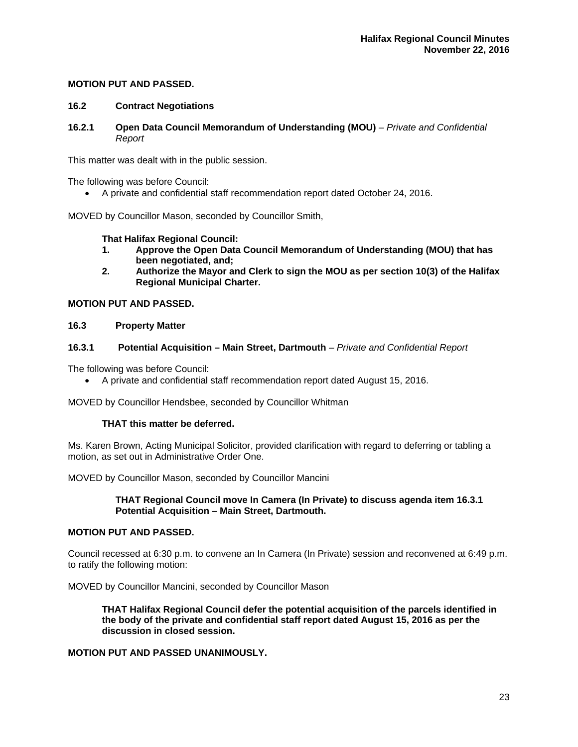# **MOTION PUT AND PASSED.**

# **16.2 Contract Negotiations**

**16.2.1 Open Data Council Memorandum of Understanding (MOU)** *– Private and Confidential Report* 

This matter was dealt with in the public session.

The following was before Council:

A private and confidential staff recommendation report dated October 24, 2016.

MOVED by Councillor Mason, seconded by Councillor Smith,

# **That Halifax Regional Council:**

- **1. Approve the Open Data Council Memorandum of Understanding (MOU) that has been negotiated, and;**
- **2. Authorize the Mayor and Clerk to sign the MOU as per section 10(3) of the Halifax Regional Municipal Charter.**

# **MOTION PUT AND PASSED.**

# **16.3 Property Matter**

# **16.3.1 Potential Acquisition – Main Street, Dartmouth** *– Private and Confidential Report*

The following was before Council:

A private and confidential staff recommendation report dated August 15, 2016.

MOVED by Councillor Hendsbee, seconded by Councillor Whitman

# **THAT this matter be deferred.**

Ms. Karen Brown, Acting Municipal Solicitor, provided clarification with regard to deferring or tabling a motion, as set out in Administrative Order One.

MOVED by Councillor Mason, seconded by Councillor Mancini

# **THAT Regional Council move In Camera (In Private) to discuss agenda item 16.3.1 Potential Acquisition – Main Street, Dartmouth.**

# **MOTION PUT AND PASSED.**

Council recessed at 6:30 p.m. to convene an In Camera (In Private) session and reconvened at 6:49 p.m. to ratify the following motion:

MOVED by Councillor Mancini, seconded by Councillor Mason

**THAT Halifax Regional Council defer the potential acquisition of the parcels identified in the body of the private and confidential staff report dated August 15, 2016 as per the discussion in closed session.** 

# **MOTION PUT AND PASSED UNANIMOUSLY.**